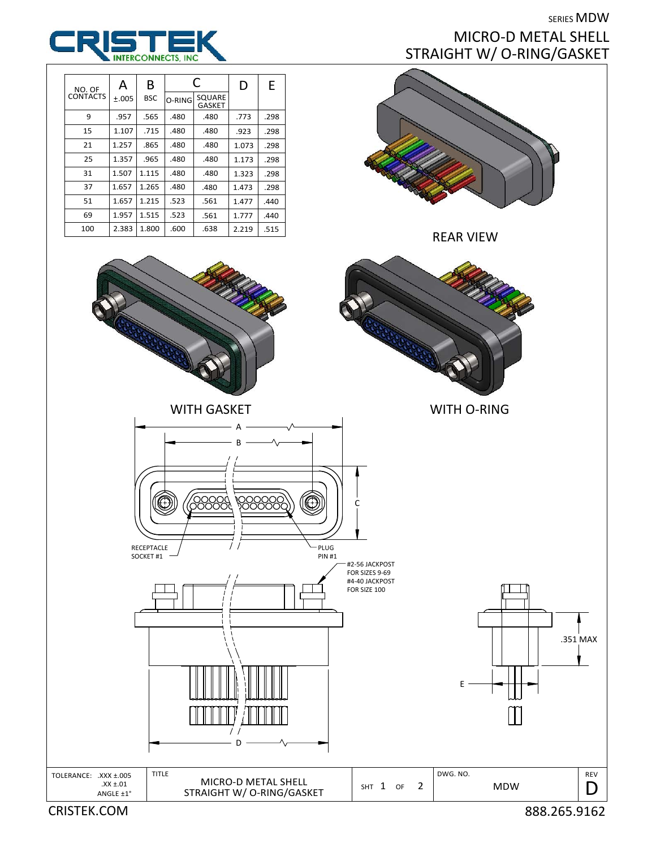## SERIES MDW MICRO‐D METAL SHELL STRAIGHT W/ O‐RING/GASKET







SHT 1 OF 2

TOLERANCE: .XXX ±.005 TITLE MICRO-D METAL SHELL  $\begin{array}{|c|c|c|c|c|c|}\n\hline\n\end{array}$  DWG. NO.

ANGLE ±1°  $\begin{array}{c|c|c|c|c} \text{XX } \pm .01 & \text{MICRO-D METAL SHELL} \ \text{XZ } \pm .01 & \text{STRAIGHT W/O-RING/GASKET} & \text{SHT} & \text{1} & \text{OF} & \text{2} & \text{MDW} \ \end{array}$ 

TITLE

RECEPTACLE SOCKET #1

**ROOM** 

CRISTEK.COM 888.265.9162

REV